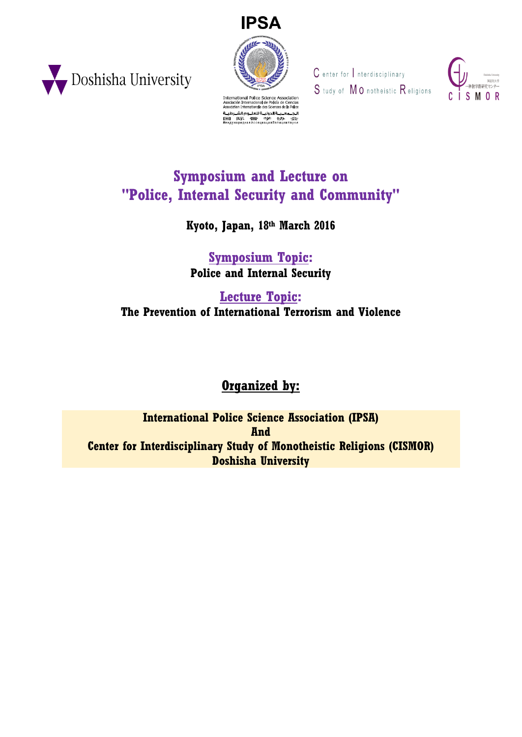



tiation Internationale des Sciences de la Polio ة<br>الدوليــة للعلــوم الش   $C$  enter for  $|$  nterdisciplinary S tudy of MO notheistic Religions



## **Symposium and Lecture on "Police, Internal Security and Community"**

**Kyoto, Japan, 18th March 2016**

**Symposium Topic: Police and Internal Security**

**Lecture Topic: The Prevention of International Terrorism and Violence**

## **Organized by:**

**International Police Science Association (IPSA) And Center for Interdisciplinary Study of Monotheistic Religions (CISMOR) Doshisha University**